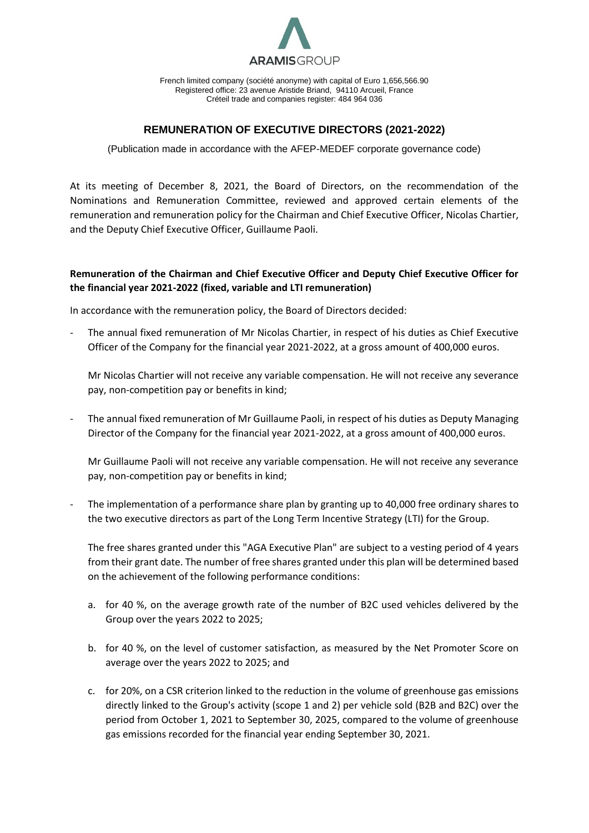

French limited company (société anonyme) with capital of Euro 1,656,566.90 Registered office: 23 avenue Aristide Briand, 94110 Arcueil, France Créteil trade and companies register: 484 964 036

## **REMUNERATION OF EXECUTIVE DIRECTORS (2021-2022)**

(Publication made in accordance with the AFEP-MEDEF corporate governance code)

At its meeting of December 8, 2021, the Board of Directors, on the recommendation of the Nominations and Remuneration Committee, reviewed and approved certain elements of the remuneration and remuneration policy for the Chairman and Chief Executive Officer, Nicolas Chartier, and the Deputy Chief Executive Officer, Guillaume Paoli.

## **Remuneration of the Chairman and Chief Executive Officer and Deputy Chief Executive Officer for the financial year 2021-2022 (fixed, variable and LTI remuneration)**

In accordance with the remuneration policy, the Board of Directors decided:

The annual fixed remuneration of Mr Nicolas Chartier, in respect of his duties as Chief Executive Officer of the Company for the financial year 2021-2022, at a gross amount of 400,000 euros.

Mr Nicolas Chartier will not receive any variable compensation. He will not receive any severance pay, non-competition pay or benefits in kind;

- The annual fixed remuneration of Mr Guillaume Paoli, in respect of his duties as Deputy Managing Director of the Company for the financial year 2021-2022, at a gross amount of 400,000 euros.

Mr Guillaume Paoli will not receive any variable compensation. He will not receive any severance pay, non-competition pay or benefits in kind;

The implementation of a performance share plan by granting up to 40,000 free ordinary shares to the two executive directors as part of the Long Term Incentive Strategy (LTI) for the Group.

The free shares granted under this "AGA Executive Plan" are subject to a vesting period of 4 years from their grant date. The number of free shares granted under this plan will be determined based on the achievement of the following performance conditions:

- a. for 40 %, on the average growth rate of the number of B2C used vehicles delivered by the Group over the years 2022 to 2025;
- b. for 40 %, on the level of customer satisfaction, as measured by the Net Promoter Score on average over the years 2022 to 2025; and
- c. for 20%, on a CSR criterion linked to the reduction in the volume of greenhouse gas emissions directly linked to the Group's activity (scope 1 and 2) per vehicle sold (B2B and B2C) over the period from October 1, 2021 to September 30, 2025, compared to the volume of greenhouse gas emissions recorded for the financial year ending September 30, 2021.